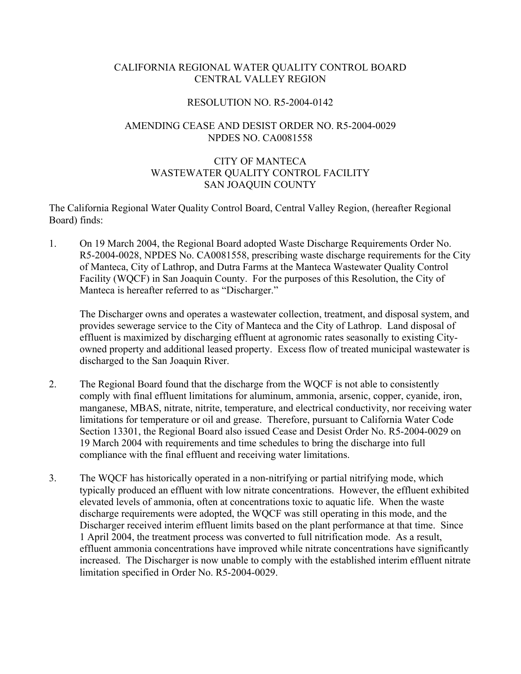### CALIFORNIA REGIONAL WATER QUALITY CONTROL BOARD CENTRAL VALLEY REGION

#### RESOLUTION NO. R5-2004-0142

### AMENDING CEASE AND DESIST ORDER NO. R5-2004-0029 NPDES NO. CA0081558

# CITY OF MANTECA WASTEWATER QUALITY CONTROL FACILITY SAN JOAQUIN COUNTY

The California Regional Water Quality Control Board, Central Valley Region, (hereafter Regional Board) finds:

1. On 19 March 2004, the Regional Board adopted Waste Discharge Requirements Order No. R5-2004-0028, NPDES No. CA0081558, prescribing waste discharge requirements for the City of Manteca, City of Lathrop, and Dutra Farms at the Manteca Wastewater Quality Control Facility (WQCF) in San Joaquin County. For the purposes of this Resolution, the City of Manteca is hereafter referred to as "Discharger."

The Discharger owns and operates a wastewater collection, treatment, and disposal system, and provides sewerage service to the City of Manteca and the City of Lathrop. Land disposal of effluent is maximized by discharging effluent at agronomic rates seasonally to existing Cityowned property and additional leased property. Excess flow of treated municipal wastewater is discharged to the San Joaquin River.

- 2. The Regional Board found that the discharge from the WQCF is not able to consistently comply with final effluent limitations for aluminum, ammonia, arsenic, copper, cyanide, iron, manganese, MBAS, nitrate, nitrite, temperature, and electrical conductivity, nor receiving water limitations for temperature or oil and grease. Therefore, pursuant to California Water Code Section 13301, the Regional Board also issued Cease and Desist Order No. R5-2004-0029 on 19 March 2004 with requirements and time schedules to bring the discharge into full compliance with the final effluent and receiving water limitations.
- 3. The WQCF has historically operated in a non-nitrifying or partial nitrifying mode, which typically produced an effluent with low nitrate concentrations. However, the effluent exhibited elevated levels of ammonia, often at concentrations toxic to aquatic life. When the waste discharge requirements were adopted, the WQCF was still operating in this mode, and the Discharger received interim effluent limits based on the plant performance at that time. Since 1 April 2004, the treatment process was converted to full nitrification mode. As a result, effluent ammonia concentrations have improved while nitrate concentrations have significantly increased. The Discharger is now unable to comply with the established interim effluent nitrate limitation specified in Order No. R5-2004-0029.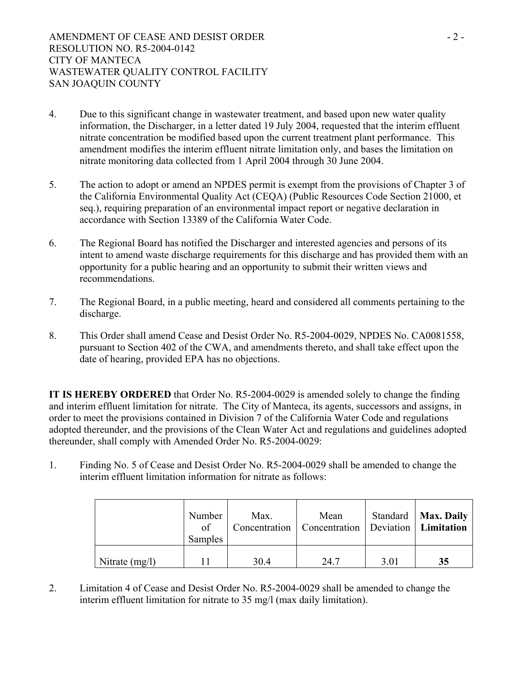- 4. Due to this significant change in wastewater treatment, and based upon new water quality information, the Discharger, in a letter dated 19 July 2004, requested that the interim effluent nitrate concentration be modified based upon the current treatment plant performance. This amendment modifies the interim effluent nitrate limitation only, and bases the limitation on nitrate monitoring data collected from 1 April 2004 through 30 June 2004.
- 5. The action to adopt or amend an NPDES permit is exempt from the provisions of Chapter 3 of the California Environmental Quality Act (CEQA) (Public Resources Code Section 21000, et seq.), requiring preparation of an environmental impact report or negative declaration in accordance with Section 13389 of the California Water Code.
- 6. The Regional Board has notified the Discharger and interested agencies and persons of its intent to amend waste discharge requirements for this discharge and has provided them with an opportunity for a public hearing and an opportunity to submit their written views and recommendations.
- 7. The Regional Board, in a public meeting, heard and considered all comments pertaining to the discharge.
- 8. This Order shall amend Cease and Desist Order No. R5-2004-0029, NPDES No. CA0081558, pursuant to Section 402 of the CWA, and amendments thereto, and shall take effect upon the date of hearing, provided EPA has no objections.

**IT IS HEREBY ORDERED** that Order No. R5-2004-0029 is amended solely to change the finding and interim effluent limitation for nitrate. The City of Manteca, its agents, successors and assigns, in order to meet the provisions contained in Division 7 of the California Water Code and regulations adopted thereunder, and the provisions of the Clean Water Act and regulations and guidelines adopted thereunder, shall comply with Amended Order No. R5-2004-0029:

1. Finding No. 5 of Cease and Desist Order No. R5-2004-0029 shall be amended to change the interim effluent limitation information for nitrate as follows:

|                  | Number<br>of<br>Samples | Max. | Mean<br>Concentration   Concentration   Deviation   Limitation |      | Standard   Max. Daily |
|------------------|-------------------------|------|----------------------------------------------------------------|------|-----------------------|
| Nitrate $(mg/l)$ |                         | 30.4 | 24.7                                                           | 3.01 | 35                    |

2. Limitation 4 of Cease and Desist Order No. R5-2004-0029 shall be amended to change the interim effluent limitation for nitrate to 35 mg/l (max daily limitation).